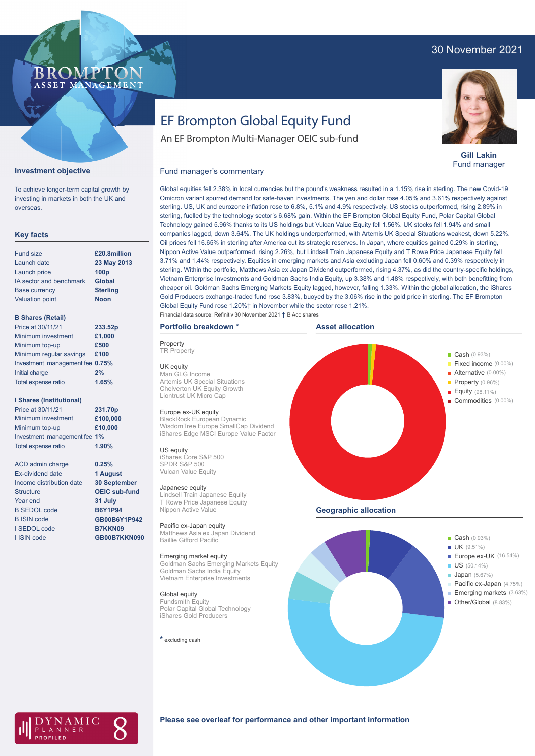# 30 November 2021

#### BROMP ASSET MA **NAGEMENT**

# EF Brompton Global Equity Fund

An EF Brompton Multi-Manager OEIC sub-fund



**Gill Lakin** Fund manager

#### Fund manager's commentary



To achieve longer-term capital growth by investing in markets in both the UK and overseas.

#### **Key facts**

| <b>Fund size</b>        | £20.8million     |
|-------------------------|------------------|
| Launch date             | 23 May 2013      |
| Launch price            | 100 <sub>p</sub> |
| IA sector and benchmark | Global           |
| <b>Base currency</b>    | <b>Sterling</b>  |
| <b>Valuation point</b>  | <b>Noon</b>      |
|                         |                  |

#### **B Shares (Retail)**

| Price at 30/11/21               | 233.52p |
|---------------------------------|---------|
| Minimum investment              | £1,000  |
| Minimum top-up                  | £500    |
| Minimum regular savings         | £100    |
| Investment management fee 0.75% |         |
| Initial charge                  | 2%      |
| Total expense ratio             | 1.65%   |
|                                 |         |

#### **I Shares (Institutional)**

| Price at 30/11/21            | 231.70p  |
|------------------------------|----------|
| Minimum investment           | £100,000 |
| Minimum top-up               | £10,000  |
| Investment management fee 1% |          |
| Total expense ratio          | 1.90%    |

ACD admin charge Ex-dividend date Income distribution date Structure Year end B SEDOL code B ISIN code I SEDOL code I ISIN code

**0.25% 1 August 30 September OEIC sub-fund 31 July B6Y1P94 GB00B6Y1P942 B7KKN09 GB00B7KKN090**

Global equities fell 2.38% in local currencies but the pound's weakness resulted in a 1.15% rise in sterling. The new Covid-19 Omicron variant spurred demand for safe-haven investments. The yen and dollar rose 4.05% and 3.61% respectively against sterling. US, UK and eurozone inflation rose to 6.8%, 5.1% and 4.9% respectively. US stocks outperformed, rising 2.89% in sterling, fuelled by the technology sector's 6.68% gain. Within the EF Brompton Global Equity Fund, Polar Capital Global Technology gained 5.96% thanks to its US holdings but Vulcan Value Equity fell 1.56%. UK stocks fell 1.94% and small companies lagged, down 3.64%. The UK holdings underperformed, with Artemis UK Special Situations weakest, down 5.22%. Oil prices fell 16.65% in sterling after America cut its strategic reserves. In Japan, where equities gained 0.29% in sterling, Nippon Active Value outperformed, rising 2.26%, but Lindsell Train Japanese Equity and T Rowe Price Japanese Equity fell 3.71% and 1.44% respectively. Equities in emerging markets and Asia excluding Japan fell 0.60% and 0.39% respectively in sterling. Within the portfolio, Matthews Asia ex Japan Dividend outperformed, rising 4.37%, as did the country-specific holdings, Vietnam Enterprise Investments and Goldman Sachs India Equity, up 3.38% and 1.48% respectively, with both benefitting from cheaper oil. Goldman Sachs Emerging Markets Equity lagged, however, falling 1.33%. Within the global allocation, the iShares Gold Producers exchange-traded fund rose 3.83%, buoyed by the 3.06% rise in the gold price in sterling. The EF Brompton Global Equity Fund rose 1.20%† in November while the sector rose 1.21%. Financial data source: Refinitiv 30 November 2021 † B Acc shares

#### **Portfolio breakdown \***

**Property TR** Property

UK equity Man GLG Income Artemis UK Special Situations Chelverton UK Equity Growth Liontrust UK Micro Cap

#### Europe ex-UK equity

BlackRock European Dynamic WisdomTree Europe SmallCap Dividend iShares Edge MSCI Europe Value Factor

#### US equity

iShares Core S&P 500 SPDR S&P 500 Vulcan Value Equity

#### Japanese equity

Lindsell Train Japanese Equity T Rowe Price Japanese Equity Nippon Active Value

Pacific ex-Japan equity Matthews Asia ex Japan Dividend Baillie Gifford Pacific

#### Emerging market equity

Goldman Sachs Emerging Markets Equity Goldman Sachs India Equity Vietnam Enterprise Investments

Global equity Fundsmith Equity Polar Capital Global Technology iShares Gold Producers

**\*** excluding cash







### **Please see overleaf for performance and other important information**

**Geographic allocation**